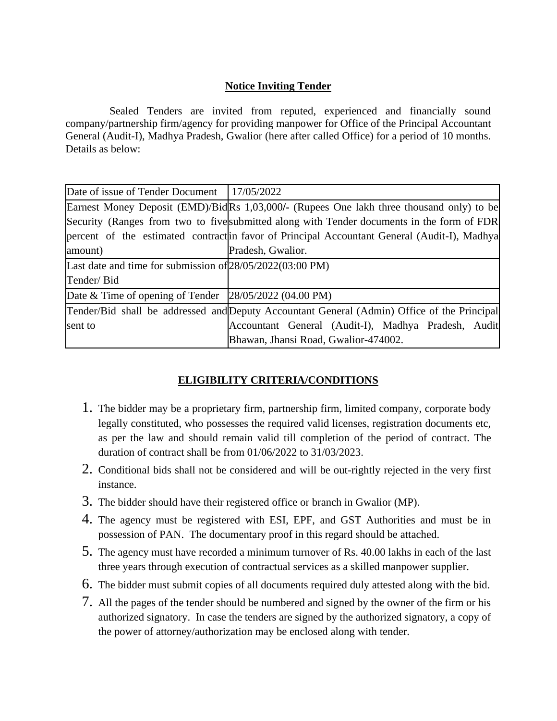## **Notice Inviting Tender**

 Sealed Tenders are invited from reputed, experienced and financially sound company/partnership firm/agency for providing manpower for Office of the Principal Accountant General (Audit-I), Madhya Pradesh, Gwalior (here after called Office) for a period of 10 months. Details as below:

| Date of issue of Tender Document   17/05/2022                                               |                                                                                             |  |
|---------------------------------------------------------------------------------------------|---------------------------------------------------------------------------------------------|--|
|                                                                                             | Earnest Money Deposit (EMD)/BidRs 1,03,000/- (Rupees One lakh three thousand only) to be    |  |
|                                                                                             | Security (Ranges from two to five submitted along with Tender documents in the form of FDR  |  |
|                                                                                             | percent of the estimated contractin favor of Principal Accountant General (Audit-I), Madhya |  |
| amount)                                                                                     | Pradesh, Gwalior.                                                                           |  |
| Last date and time for submission of $28/05/2022(03:00 \text{ PM})$                         |                                                                                             |  |
| Tender/Bid                                                                                  |                                                                                             |  |
| Date & Time of opening of Tender $\left  \frac{28}{05}{\right } \right $ (04.00 PM)         |                                                                                             |  |
| Tender/Bid shall be addressed and Deputy Accountant General (Admin) Office of the Principal |                                                                                             |  |
| sent to                                                                                     | Accountant General (Audit-I), Madhya Pradesh, Audit                                         |  |
|                                                                                             | Bhawan, Jhansi Road, Gwalior-474002.                                                        |  |

# **ELIGIBILITY CRITERIA/CONDITIONS**

- 1. The bidder may be a proprietary firm, partnership firm, limited company, corporate body legally constituted, who possesses the required valid licenses, registration documents etc, as per the law and should remain valid till completion of the period of contract. The duration of contract shall be from 01/06/2022 to 31/03/2023.
- 2. Conditional bids shall not be considered and will be out-rightly rejected in the very first instance.
- 3. The bidder should have their registered office or branch in Gwalior (MP).
- 4. The agency must be registered with ESI, EPF, and GST Authorities and must be in possession of PAN. The documentary proof in this regard should be attached.
- 5. The agency must have recorded a minimum turnover of Rs. 40.00 lakhs in each of the last three years through execution of contractual services as a skilled manpower supplier.
- 6. The bidder must submit copies of all documents required duly attested along with the bid.
- 7. All the pages of the tender should be numbered and signed by the owner of the firm or his authorized signatory. In case the tenders are signed by the authorized signatory, a copy of the power of attorney/authorization may be enclosed along with tender.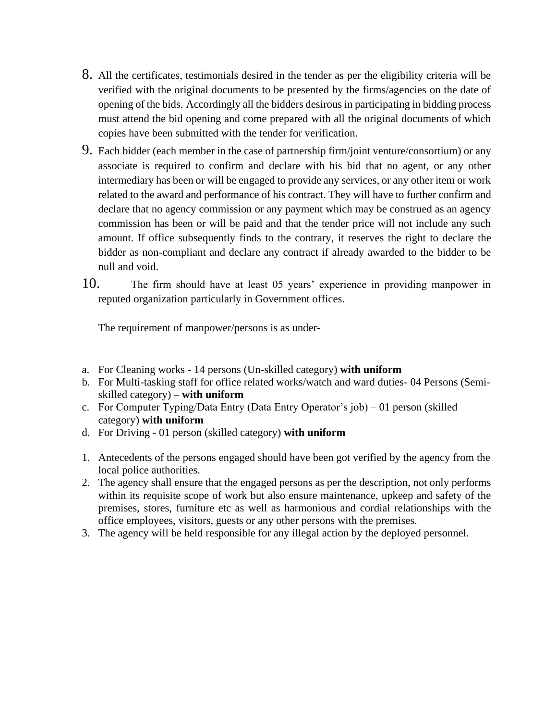- 8. All the certificates, testimonials desired in the tender as per the eligibility criteria will be verified with the original documents to be presented by the firms/agencies on the date of opening of the bids. Accordingly all the bidders desirous in participating in bidding process must attend the bid opening and come prepared with all the original documents of which copies have been submitted with the tender for verification.
- 9. Each bidder (each member in the case of partnership firm/joint venture/consortium) or any associate is required to confirm and declare with his bid that no agent, or any other intermediary has been or will be engaged to provide any services, or any other item or work related to the award and performance of his contract. They will have to further confirm and declare that no agency commission or any payment which may be construed as an agency commission has been or will be paid and that the tender price will not include any such amount. If office subsequently finds to the contrary, it reserves the right to declare the bidder as non-compliant and declare any contract if already awarded to the bidder to be null and void.
- 10. The firm should have at least 05 years' experience in providing manpower in reputed organization particularly in Government offices.

The requirement of manpower/persons is as under-

- a. For Cleaning works 14 persons (Un-skilled category) **with uniform**
- b. For Multi-tasking staff for office related works/watch and ward duties- 04 Persons (Semiskilled category) – **with uniform**
- c. For Computer Typing/Data Entry (Data Entry Operator's job) 01 person (skilled category) **with uniform**
- d. For Driving 01 person (skilled category) **with uniform**
- 1. Antecedents of the persons engaged should have been got verified by the agency from the local police authorities.
- 2. The agency shall ensure that the engaged persons as per the description, not only performs within its requisite scope of work but also ensure maintenance, upkeep and safety of the premises, stores, furniture etc as well as harmonious and cordial relationships with the office employees, visitors, guests or any other persons with the premises.
- 3. The agency will be held responsible for any illegal action by the deployed personnel.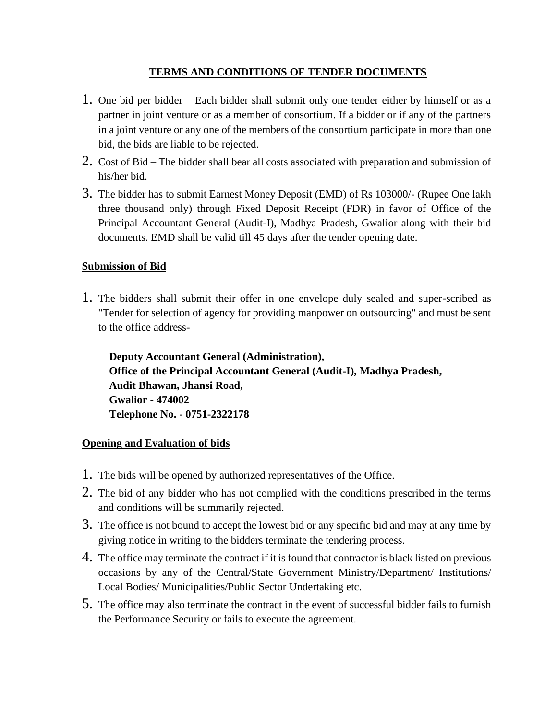### **TERMS AND CONDITIONS OF TENDER DOCUMENTS**

- 1. One bid per bidder Each bidder shall submit only one tender either by himself or as a partner in joint venture or as a member of consortium. If a bidder or if any of the partners in a joint venture or any one of the members of the consortium participate in more than one bid, the bids are liable to be rejected.
- 2. Cost of Bid The bidder shall bear all costs associated with preparation and submission of his/her bid.
- 3. The bidder has to submit Earnest Money Deposit (EMD) of Rs 103000/- (Rupee One lakh three thousand only) through Fixed Deposit Receipt (FDR) in favor of Office of the Principal Accountant General (Audit-I), Madhya Pradesh, Gwalior along with their bid documents. EMD shall be valid till 45 days after the tender opening date.

# **Submission of Bid**

1. The bidders shall submit their offer in one envelope duly sealed and super-scribed as "Tender for selection of agency for providing manpower on outsourcing" and must be sent to the office address-

 **Deputy Accountant General (Administration), Office of the Principal Accountant General (Audit-I), Madhya Pradesh, Audit Bhawan, Jhansi Road, Gwalior - 474002 Telephone No. - 0751-2322178**

### **Opening and Evaluation of bids**

- 1. The bids will be opened by authorized representatives of the Office.
- 2. The bid of any bidder who has not complied with the conditions prescribed in the terms and conditions will be summarily rejected.
- 3. The office is not bound to accept the lowest bid or any specific bid and may at any time by giving notice in writing to the bidders terminate the tendering process.
- 4. The office may terminate the contract if it is found that contractor is black listed on previous occasions by any of the Central/State Government Ministry/Department/ Institutions/ Local Bodies/ Municipalities/Public Sector Undertaking etc.
- 5. The office may also terminate the contract in the event of successful bidder fails to furnish the Performance Security or fails to execute the agreement.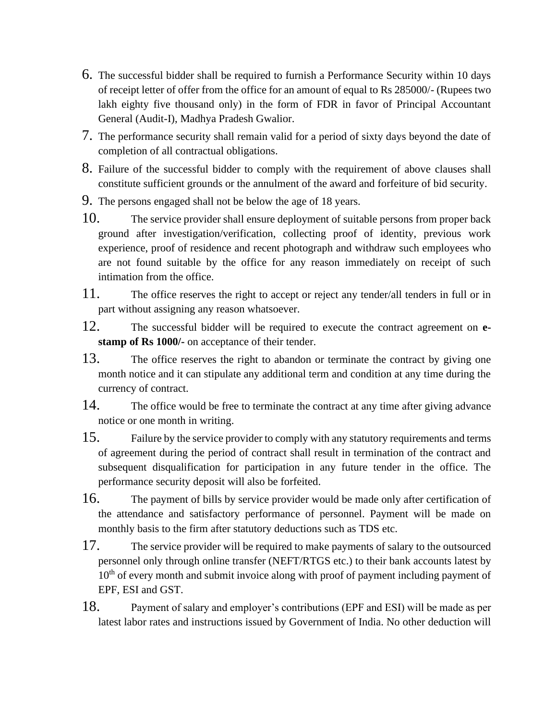- 6. The successful bidder shall be required to furnish a Performance Security within 10 days of receipt letter of offer from the office for an amount of equal to Rs 285000/- (Rupees two lakh eighty five thousand only) in the form of FDR in favor of Principal Accountant General (Audit-I), Madhya Pradesh Gwalior.
- 7. The performance security shall remain valid for a period of sixty days beyond the date of completion of all contractual obligations.
- 8. Failure of the successful bidder to comply with the requirement of above clauses shall constitute sufficient grounds or the annulment of the award and forfeiture of bid security.
- 9. The persons engaged shall not be below the age of 18 years.
- 10. The service provider shall ensure deployment of suitable persons from proper back ground after investigation/verification, collecting proof of identity, previous work experience, proof of residence and recent photograph and withdraw such employees who are not found suitable by the office for any reason immediately on receipt of such intimation from the office.
- 11. The office reserves the right to accept or reject any tender/all tenders in full or in part without assigning any reason whatsoever.
- 12. The successful bidder will be required to execute the contract agreement on **estamp of Rs 1000/-** on acceptance of their tender.
- 13. The office reserves the right to abandon or terminate the contract by giving one month notice and it can stipulate any additional term and condition at any time during the currency of contract.
- 14. The office would be free to terminate the contract at any time after giving advance notice or one month in writing.
- 15. Failure by the service provider to comply with any statutory requirements and terms of agreement during the period of contract shall result in termination of the contract and subsequent disqualification for participation in any future tender in the office. The performance security deposit will also be forfeited.
- 16. The payment of bills by service provider would be made only after certification of the attendance and satisfactory performance of personnel. Payment will be made on monthly basis to the firm after statutory deductions such as TDS etc.
- 17. The service provider will be required to make payments of salary to the outsourced personnel only through online transfer (NEFT/RTGS etc.) to their bank accounts latest by  $10<sup>th</sup>$  of every month and submit invoice along with proof of payment including payment of EPF, ESI and GST.
- 18. Payment of salary and employer's contributions (EPF and ESI) will be made as per latest labor rates and instructions issued by Government of India. No other deduction will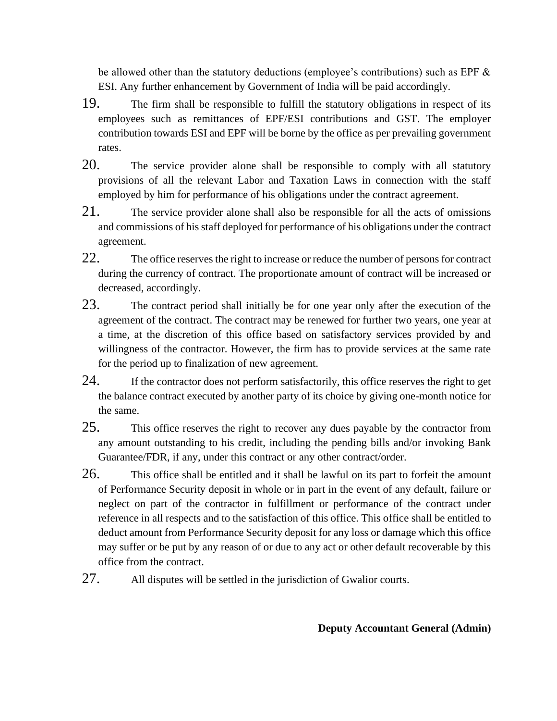be allowed other than the statutory deductions (employee's contributions) such as EPF & ESI. Any further enhancement by Government of India will be paid accordingly.

- 19. The firm shall be responsible to fulfill the statutory obligations in respect of its employees such as remittances of EPF/ESI contributions and GST. The employer contribution towards ESI and EPF will be borne by the office as per prevailing government rates.
- 20. The service provider alone shall be responsible to comply with all statutory provisions of all the relevant Labor and Taxation Laws in connection with the staff employed by him for performance of his obligations under the contract agreement.
- 21. The service provider alone shall also be responsible for all the acts of omissions and commissions of his staff deployed for performance of his obligations under the contract agreement.
- 22. The office reserves the right to increase or reduce the number of persons for contract during the currency of contract. The proportionate amount of contract will be increased or decreased, accordingly.
- 23. The contract period shall initially be for one year only after the execution of the agreement of the contract. The contract may be renewed for further two years, one year at a time, at the discretion of this office based on satisfactory services provided by and willingness of the contractor. However, the firm has to provide services at the same rate for the period up to finalization of new agreement.
- 24. If the contractor does not perform satisfactorily, this office reserves the right to get the balance contract executed by another party of its choice by giving one-month notice for the same.
- 25. This office reserves the right to recover any dues payable by the contractor from any amount outstanding to his credit, including the pending bills and/or invoking Bank Guarantee/FDR, if any, under this contract or any other contract/order.
- 26. This office shall be entitled and it shall be lawful on its part to forfeit the amount of Performance Security deposit in whole or in part in the event of any default, failure or neglect on part of the contractor in fulfillment or performance of the contract under reference in all respects and to the satisfaction of this office. This office shall be entitled to deduct amount from Performance Security deposit for any loss or damage which this office may suffer or be put by any reason of or due to any act or other default recoverable by this office from the contract.
- 27. All disputes will be settled in the jurisdiction of Gwalior courts.

# **Deputy Accountant General (Admin)**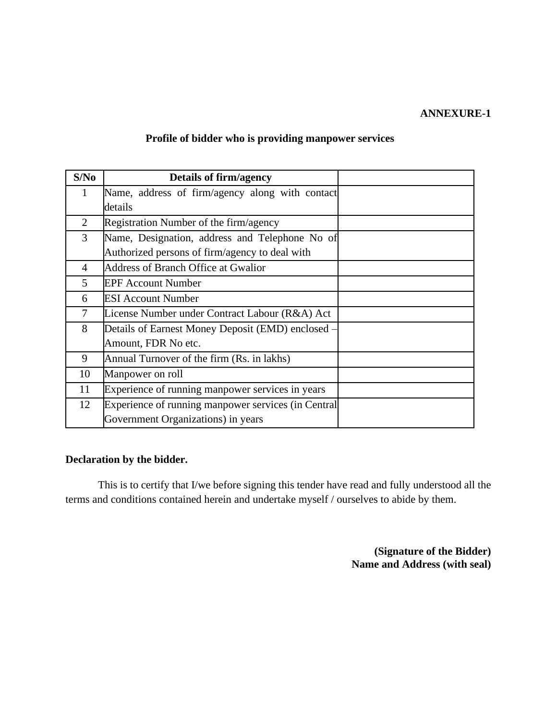#### **ANNEXURE-1**

## **Profile of bidder who is providing manpower services**

| S/No           | <b>Details of firm/agency</b>                       |  |
|----------------|-----------------------------------------------------|--|
| 1              | Name, address of firm/agency along with contact     |  |
|                | details                                             |  |
| $\overline{2}$ | Registration Number of the firm/agency              |  |
| 3              | Name, Designation, address and Telephone No of      |  |
|                | Authorized persons of firm/agency to deal with      |  |
| $\overline{4}$ | <b>Address of Branch Office at Gwalior</b>          |  |
| 5              | <b>EPF Account Number</b>                           |  |
| 6              | <b>ESI Account Number</b>                           |  |
| 7              | License Number under Contract Labour (R&A) Act      |  |
| 8              | Details of Earnest Money Deposit (EMD) enclosed –   |  |
|                | Amount, FDR No etc.                                 |  |
| 9              | Annual Turnover of the firm (Rs. in lakhs)          |  |
| 10             | Manpower on roll                                    |  |
| 11             | Experience of running manpower services in years    |  |
| 12             | Experience of running manpower services (in Central |  |
|                | Government Organizations) in years                  |  |

#### **Declaration by the bidder.**

 This is to certify that I/we before signing this tender have read and fully understood all the terms and conditions contained herein and undertake myself / ourselves to abide by them.

> **(Signature of the Bidder) Name and Address (with seal)**